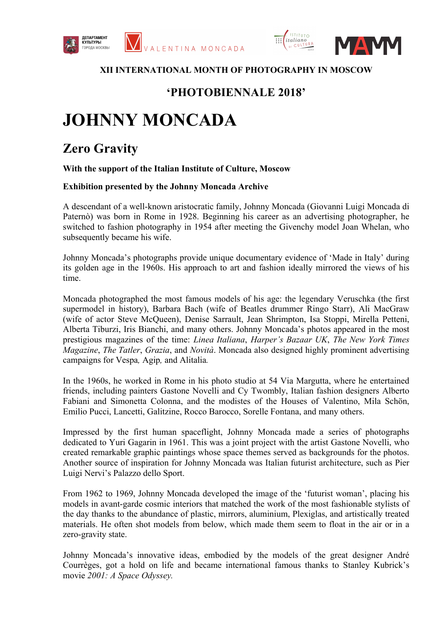



## **ХII INTERNATIONAL MONTH OF PHOTOGRAPHY IN MOSCOW**

## **'PHOTOBIENNALE 2018'**

## **JOHNNY MONCADA**

## **Zero Gravity**

**With the support of the Italian Institute of Culture, Moscow**

**Exhibition presented by the Johnny Moncada Archive** 

A descendant of a well-known aristocratic family, Johnny Moncada (Giovanni Luigi Moncada di Paternò) was born in Rome in 1928. Beginning his career as an advertising photographer, he switched to fashion photography in 1954 after meeting the Givenchy model Joan Whelan, who subsequently became his wife.

Johnny Moncada's photographs provide unique documentary evidence of 'Made in Italy' during its golden age in the 1960s. His approach to art and fashion ideally mirrored the views of his time.

Moncada photographed the most famous models of his age: the legendary Veruschka (the first supermodel in history), Barbara Bach (wife of Beatles drummer Ringo Starr), Ali MacGraw (wife of actor Steve McQueen), Denise Sarrault, Jean Shrimpton, Isa Stoppi, Mirella Petteni, Alberta Tiburzi, Iris Bianchi, and many others. Johnny Moncada's photos appeared in the most prestigious magazines of the time: *Linea Italiana*, *Harper's Bazaar UK*, *The New York Times Magazine*, *The Tatler*, *Grazia*, and *Novità*. Moncada also designed highly prominent advertising campaigns for Vespa*,* Agip*,* and Alitalia*.*

In the 1960s, he worked in Rome in his photo studio at 54 Via Margutta, where he entertained friends, including painters Gastone Novelli and Cy Twombly, Italian fashion designers Alberto Fabiani and Simonetta Colonna, and the modistes of the Houses of Valentino, Mila Schön, Emilio Pucci, Lancetti, Galitzine, Rocco Barocco, Sorelle Fontana, and many others.

Impressed by the first human spaceflight, Johnny Moncada made a series of photographs dedicated to Yuri Gagarin in 1961. This was a joint project with the artist Gastone Novelli, who created remarkable graphic paintings whose space themes served as backgrounds for the photos. Another source of inspiration for Johnny Moncada was Italian futurist architecture, such as Pier Luigi Nervi's Palazzo dello Sport.

From 1962 to 1969, Johnny Moncada developed the image of the 'futurist woman', placing his models in avant-garde cosmic interiors that matched the work of the most fashionable stylists of the day thanks to the abundance of plastic, mirrors, aluminium, Plexiglas, and artistically treated materials. He often shot models from below, which made them seem to float in the air or in a zero-gravity state.

Johnny Moncada's innovative ideas, embodied by the models of the great designer André Courrèges, got a hold on life and became international famous thanks to Stanley Kubrick's movie *2001: A Space Odyssey.*